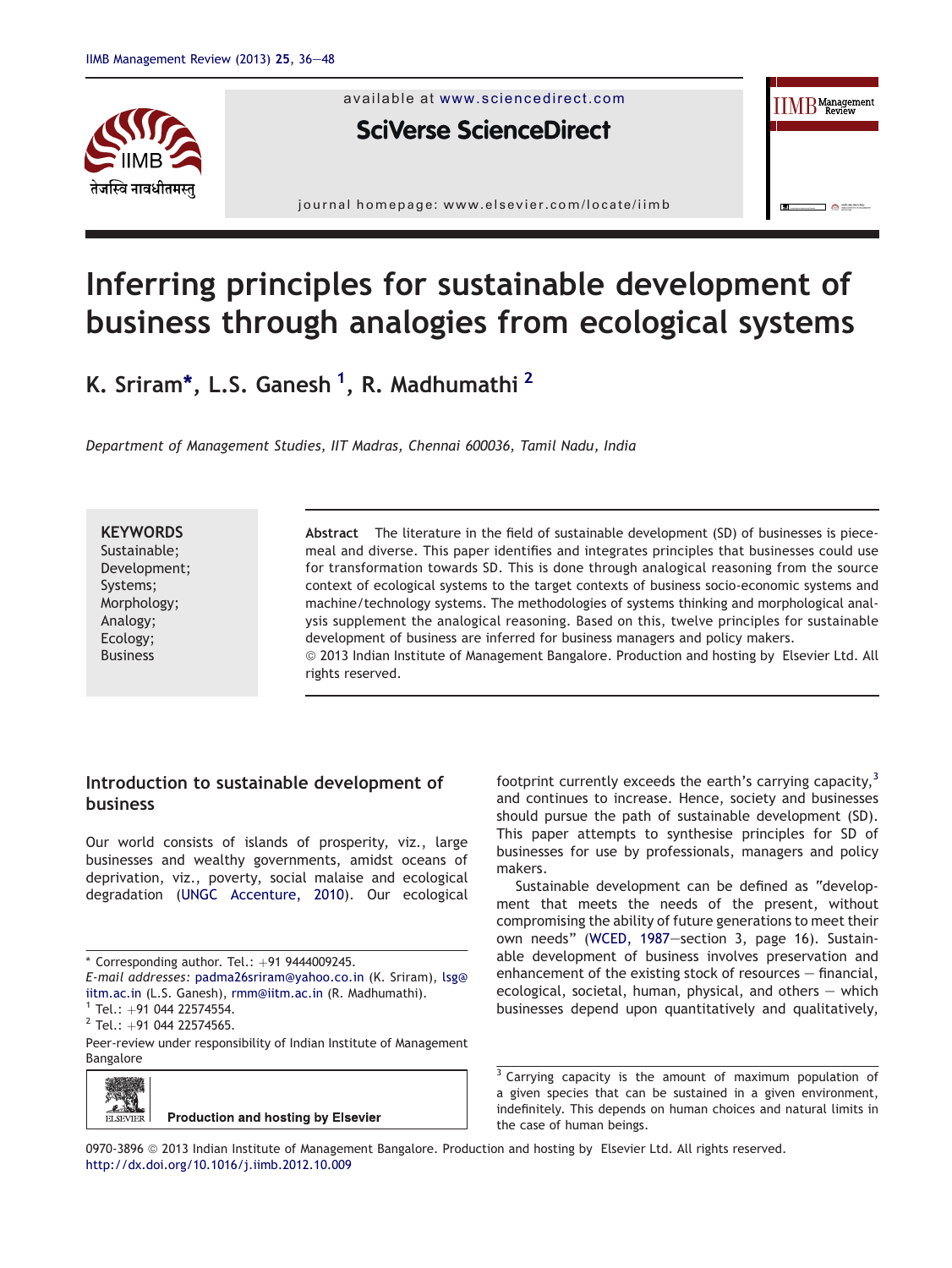

available at [www.sciencedirect.com](www.sciencedirect.com/science/journal/09703896)

# **SciVerse ScienceDirect**

journal homepage: [www.elsevier.com/locate/iimb](http://www.elsevier.com/locate/iimb) **Production and Production and Production** and hosting by Elsevier

# Inferring principles for sustainable development of business through analogies from ecological systems

K. Sriram\*, L.S. Ganesh <sup>1</sup>, R. Madhumathi <sup>2</sup>

Department of Management Studies, IIT Madras, Chennai 600036, Tamil Nadu, India

**KEYWORDS** 

Sustainable; Development; Systems; Morphology; Analogy; Ecology; Business

Abstract The literature in the field of sustainable development (SD) of businesses is piecemeal and diverse. This paper identifies and integrates principles that businesses could use for transformation towards SD. This is done through analogical reasoning from the source context of ecological systems to the target contexts of business socio-economic systems and machine/technology systems. The methodologies of systems thinking and morphological analysis supplement the analogical reasoning. Based on this, twelve principles for sustainable development of business are inferred for business managers and policy makers. ª 2013 Indian Institute of Management Bangalore. Production and hosting by Elsevier Ltd. All rights reserved.

# Introduction to sustainable development of business

Our world consists of islands of prosperity, viz., large businesses and wealthy governments, amidst oceans of deprivation, viz., poverty, social malaise and ecological degradation [\(UNGC Accenture, 2010](#page-12-0)). Our ecological

Peer-review under responsibility of Indian Institute of Management Bangalore



footprint currently exceeds the earth's carrying capacity, $3$ and continues to increase. Hence, society and businesses should pursue the path of sustainable development (SD). This paper attempts to synthesise principles for SD of businesses for use by professionals, managers and policy makers.

**IIMB** Management

Sustainable development can be defined as "development that meets the needs of the present, without compromising the ability of future generations to meet their own needs" ([WCED, 1987](#page-12-0)-section 3, page 16). Sustainable development of business involves preservation and enhancement of the existing stock of resources  $-$  financial, ecological, societal, human, physical, and others  $-$  which businesses depend upon quantitatively and qualitatively,

<sup>3</sup> Carrying capacity is the amount of maximum population of a given species that can be sustained in a given environment, indefinitely. This depends on human choices and natural limits in the case of human beings.

0970-3896 @ 2013 Indian Institute of Management Bangalore. Production and hosting by Elsevier Ltd. All rights reserved. <http://dx.doi.org/10.1016/j.iimb.2012.10.009>

 $*$  Corresponding author. Tel.:  $+91$  9444009245.

E-mail addresses: [padma26sriram@yahoo.co.in](mailto:padma26sriram@yahoo.co.in) (K. Sriram), [lsg@](mailto:lsg@iitm.ac.in) [iitm.ac.in](mailto:lsg@iitm.ac.in) (L.S. Ganesh), [rmm@iitm.ac.in](mailto:rmm@iitm.ac.in) (R. Madhumathi).<br><sup>1</sup> Tel.: +91 044 22574554.<br><sup>2</sup> Tel.: +91 044 22574565.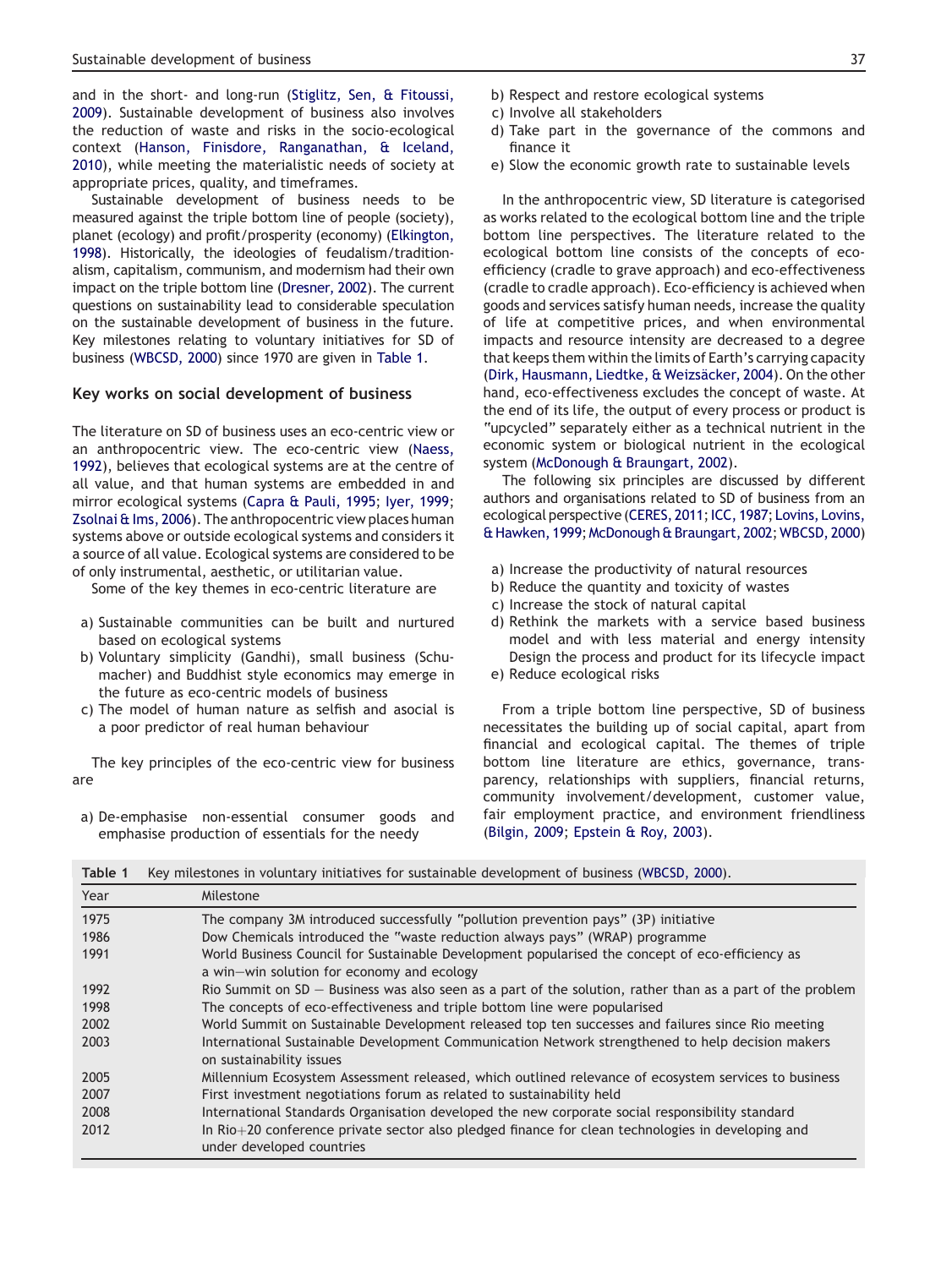and in the short- and long-run ([Stiglitz, Sen, & Fitoussi,](#page-12-0) [2009](#page-12-0)). Sustainable development of business also involves the reduction of waste and risks in the socio-ecological context [\(Hanson, Finisdore, Ranganathan, & Iceland,](#page-11-0) [2010](#page-11-0)), while meeting the materialistic needs of society at appropriate prices, quality, and timeframes.

Sustainable development of business needs to be measured against the triple bottom line of people (society), planet (ecology) and profit/prosperity (economy) ([Elkington,](#page-11-0) [1998\)](#page-11-0). Historically, the ideologies of feudalism/traditionalism, capitalism, communism, and modernism had their own impact on the triple bottom line ([Dresner, 2002\)](#page-11-0). The current questions on sustainability lead to considerable speculation on the sustainable development of business in the future. Key milestones relating to voluntary initiatives for SD of business [\(WBCSD, 2000\)](#page-12-0) since 1970 are given in Table 1.

#### Key works on social development of business

The literature on SD of business uses an eco-centric view or an anthropocentric view. The eco-centric view ([Naess,](#page-12-0) [1992](#page-12-0)), believes that ecological systems are at the centre of all value, and that human systems are embedded in and mirror ecological systems ([Capra & Pauli, 1995](#page-11-0); [Iyer, 1999](#page-11-0); [Zsolnai & Ims, 2006\)](#page-12-0). The anthropocentric view places human systems above or outside ecological systems and considers it a source of all value. Ecological systems are considered to be of only instrumental, aesthetic, or utilitarian value.

Some of the key themes in eco-centric literature are

- a) Sustainable communities can be built and nurtured based on ecological systems
- b) Voluntary simplicity (Gandhi), small business (Schumacher) and Buddhist style economics may emerge in the future as eco-centric models of business
- c) The model of human nature as selfish and asocial is a poor predictor of real human behaviour

The key principles of the eco-centric view for business are

a) De-emphasise non-essential consumer goods and emphasise production of essentials for the needy

- b) Respect and restore ecological systems
- c) Involve all stakeholders
- d) Take part in the governance of the commons and finance it
- e) Slow the economic growth rate to sustainable levels

In the anthropocentric view, SD literature is categorised as works related to the ecological bottom line and the triple bottom line perspectives. The literature related to the ecological bottom line consists of the concepts of ecoefficiency (cradle to grave approach) and eco-effectiveness (cradle to cradle approach). Eco-efficiency is achieved when goods and services satisfy human needs, increase the quality of life at competitive prices, and when environmental impacts and resource intensity are decreased to a degree that keeps them within the limits of Earth's carrying capacity (Dirk, Hausmann, Liedtke, & Weizsäcker, 2004). On the other hand, eco-effectiveness excludes the concept of waste. At the end of its life, the output of every process or product is "upcycled" separately either as a technical nutrient in the economic system or biological nutrient in the ecological system ([McDonough & Braungart, 2002\)](#page-12-0).

The following six principles are discussed by different authors and organisations related to SD of business from an ecological perspective ([CERES, 2011](#page-11-0); [ICC, 1987;](#page-11-0) [Lovins, Lovins,](#page-12-0) [& Hawken, 1999](#page-12-0); [McDonough & Braungart, 2002](#page-12-0); [WBCSD, 2000](#page-12-0))

- a) Increase the productivity of natural resources
- b) Reduce the quantity and toxicity of wastes
- c) Increase the stock of natural capital
- d) Rethink the markets with a service based business model and with less material and energy intensity Design the process and product for its lifecycle impact
- e) Reduce ecological risks

From a triple bottom line perspective, SD of business necessitates the building up of social capital, apart from financial and ecological capital. The themes of triple bottom line literature are ethics, governance, transparency, relationships with suppliers, financial returns, community involvement/development, customer value, fair employment practice, and environment friendliness ([Bilgin, 2009;](#page-11-0) [Epstein & Roy, 2003\)](#page-11-0).

| Year | Milestone                                                                                                                                     |
|------|-----------------------------------------------------------------------------------------------------------------------------------------------|
| 1975 | The company 3M introduced successfully "pollution prevention pays" (3P) initiative                                                            |
| 1986 | Dow Chemicals introduced the "waste reduction always pays" (WRAP) programme                                                                   |
| 1991 | World Business Council for Sustainable Development popularised the concept of eco-efficiency as<br>a win-win solution for economy and ecology |
| 1992 | Rio Summit on $SD -$ Business was also seen as a part of the solution, rather than as a part of the problem                                   |
| 1998 | The concepts of eco-effectiveness and triple bottom line were popularised                                                                     |
| 2002 | World Summit on Sustainable Development released top ten successes and failures since Rio meeting                                             |
| 2003 | International Sustainable Development Communication Network strengthened to help decision makers<br>on sustainability issues                  |
| 2005 | Millennium Ecosystem Assessment released, which outlined relevance of ecosystem services to business                                          |
| 2007 | First investment negotiations forum as related to sustainability held                                                                         |
| 2008 | International Standards Organisation developed the new corporate social responsibility standard                                               |
| 2012 | In Rio+20 conference private sector also pledged finance for clean technologies in developing and<br>under developed countries                |

Table 1 Key milestones in voluntary initiatives for sustainable development of business ([WBCSD, 2000](#page-12-0)).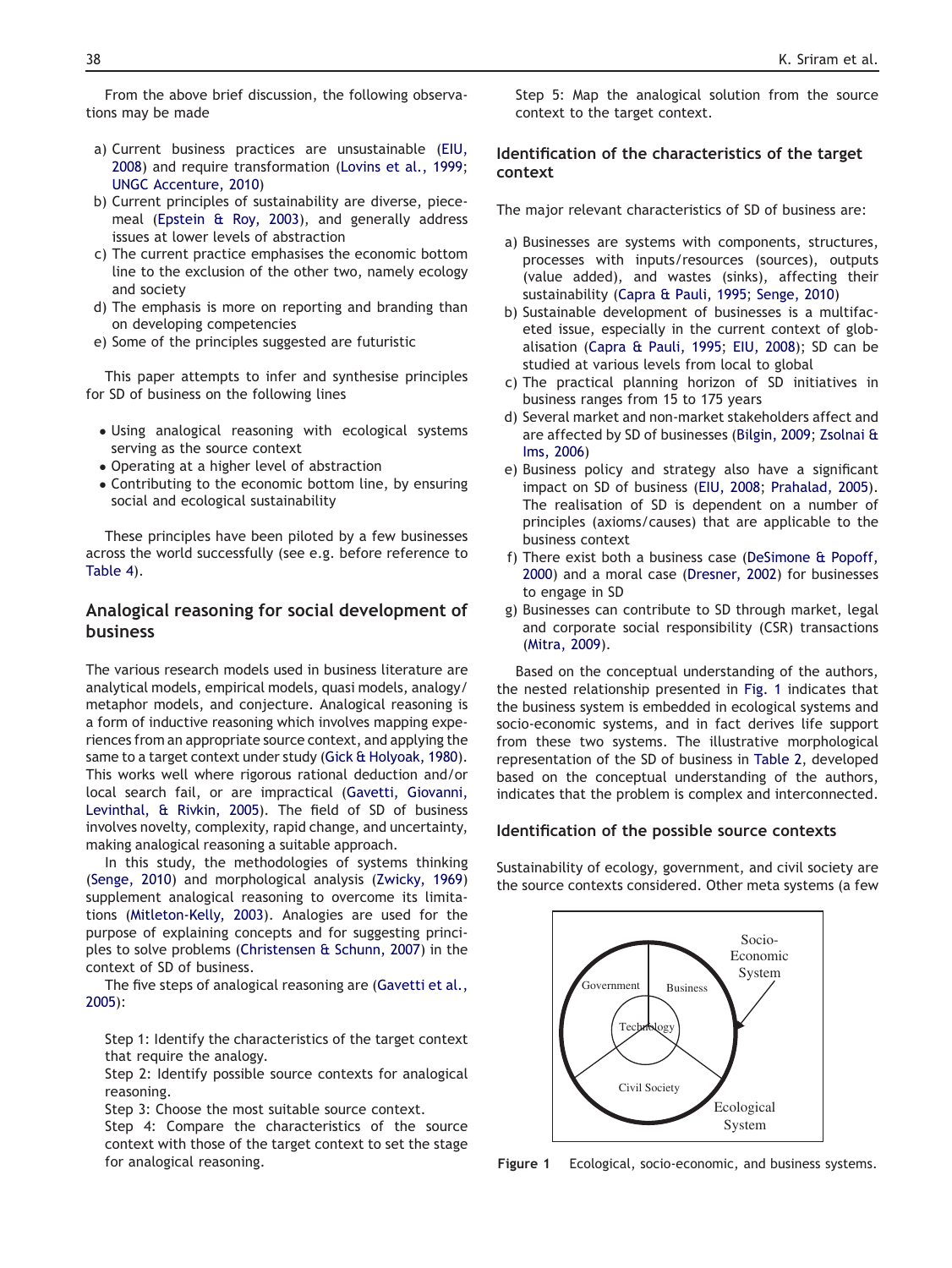From the above brief discussion, the following observations may be made

- a) Current business practices are unsustainable [\(EIU,](#page-11-0) [2008\)](#page-11-0) and require transformation [\(Lovins et al., 1999;](#page-12-0) [UNGC Accenture, 2010](#page-12-0))
- b) Current principles of sustainability are diverse, piecemeal ([Epstein & Roy, 2003](#page-11-0)), and generally address issues at lower levels of abstraction
- c) The current practice emphasises the economic bottom line to the exclusion of the other two, namely ecology and society
- d) The emphasis is more on reporting and branding than on developing competencies
- e) Some of the principles suggested are futuristic

This paper attempts to infer and synthesise principles for SD of business on the following lines

- Using analogical reasoning with ecological systems serving as the source context
- Operating at a higher level of abstraction
- Contributing to the economic bottom line, by ensuring social and ecological sustainability

These principles have been piloted by a few businesses across the world successfully (see e.g. before reference to [Table 4\)](#page-5-0).

# Analogical reasoning for social development of business

The various research models used in business literature are analytical models, empirical models, quasi models, analogy/ metaphor models, and conjecture. Analogical reasoning is a form of inductive reasoning which involves mapping experiences from an appropriate source context, and applying the same to a target context under study ([Gick & Holyoak, 1980](#page-11-0)). This works well where rigorous rational deduction and/or local search fail, or are impractical ([Gavetti, Giovanni,](#page-11-0) [Levinthal, & Rivkin, 2005](#page-11-0)). The field of SD of business involves novelty, complexity, rapid change, and uncertainty, making analogical reasoning a suitable approach.

In this study, the methodologies of systems thinking [\(Senge, 2010](#page-12-0)) and morphological analysis ([Zwicky, 1969\)](#page-12-0) supplement analogical reasoning to overcome its limitations ([Mitleton-Kelly, 2003\)](#page-12-0). Analogies are used for the purpose of explaining concepts and for suggesting principles to solve problems ([Christensen & Schunn, 2007\)](#page-11-0) in the context of SD of business.

The five steps of analogical reasoning are [\(Gavetti et al.,](#page-11-0) [2005](#page-11-0)):

Step 1: Identify the characteristics of the target context that require the analogy.

Step 2: Identify possible source contexts for analogical reasoning.

Step 3: Choose the most suitable source context.

Step 4: Compare the characteristics of the source context with those of the target context to set the stage for analogical reasoning.

Step 5: Map the analogical solution from the source context to the target context.

# Identification of the characteristics of the target context

The major relevant characteristics of SD of business are:

- a) Businesses are systems with components, structures, processes with inputs/resources (sources), outputs (value added), and wastes (sinks), affecting their sustainability ([Capra & Pauli, 1995](#page-11-0); [Senge, 2010](#page-12-0))
- b) Sustainable development of businesses is a multifaceted issue, especially in the current context of globalisation ([Capra & Pauli, 1995;](#page-11-0) [EIU, 2008\)](#page-11-0); SD can be studied at various levels from local to global
- c) The practical planning horizon of SD initiatives in business ranges from 15 to 175 years
- d) Several market and non-market stakeholders affect and are affected by SD of businesses [\(Bilgin, 2009;](#page-11-0) [Zsolnai &](#page-12-0) [Ims, 2006\)](#page-12-0)
- e) Business policy and strategy also have a significant impact on SD of business [\(EIU, 2008;](#page-11-0) [Prahalad, 2005](#page-12-0)). The realisation of SD is dependent on a number of principles (axioms/causes) that are applicable to the business context
- f) There exist both a business case ([DeSimone & Popoff,](#page-11-0) [2000\)](#page-11-0) and a moral case [\(Dresner, 2002](#page-11-0)) for businesses to engage in SD
- g) Businesses can contribute to SD through market, legal and corporate social responsibility (CSR) transactions [\(Mitra, 2009\)](#page-12-0).

Based on the conceptual understanding of the authors, the nested relationship presented in Fig. 1 indicates that the business system is embedded in ecological systems and socio-economic systems, and in fact derives life support from these two systems. The illustrative morphological representation of the SD of business in [Table 2,](#page-3-0) developed based on the conceptual understanding of the authors, indicates that the problem is complex and interconnected.

# Identification of the possible source contexts

Sustainability of ecology, government, and civil society are the source contexts considered. Other meta systems (a few



Figure 1 Ecological, socio-economic, and business systems.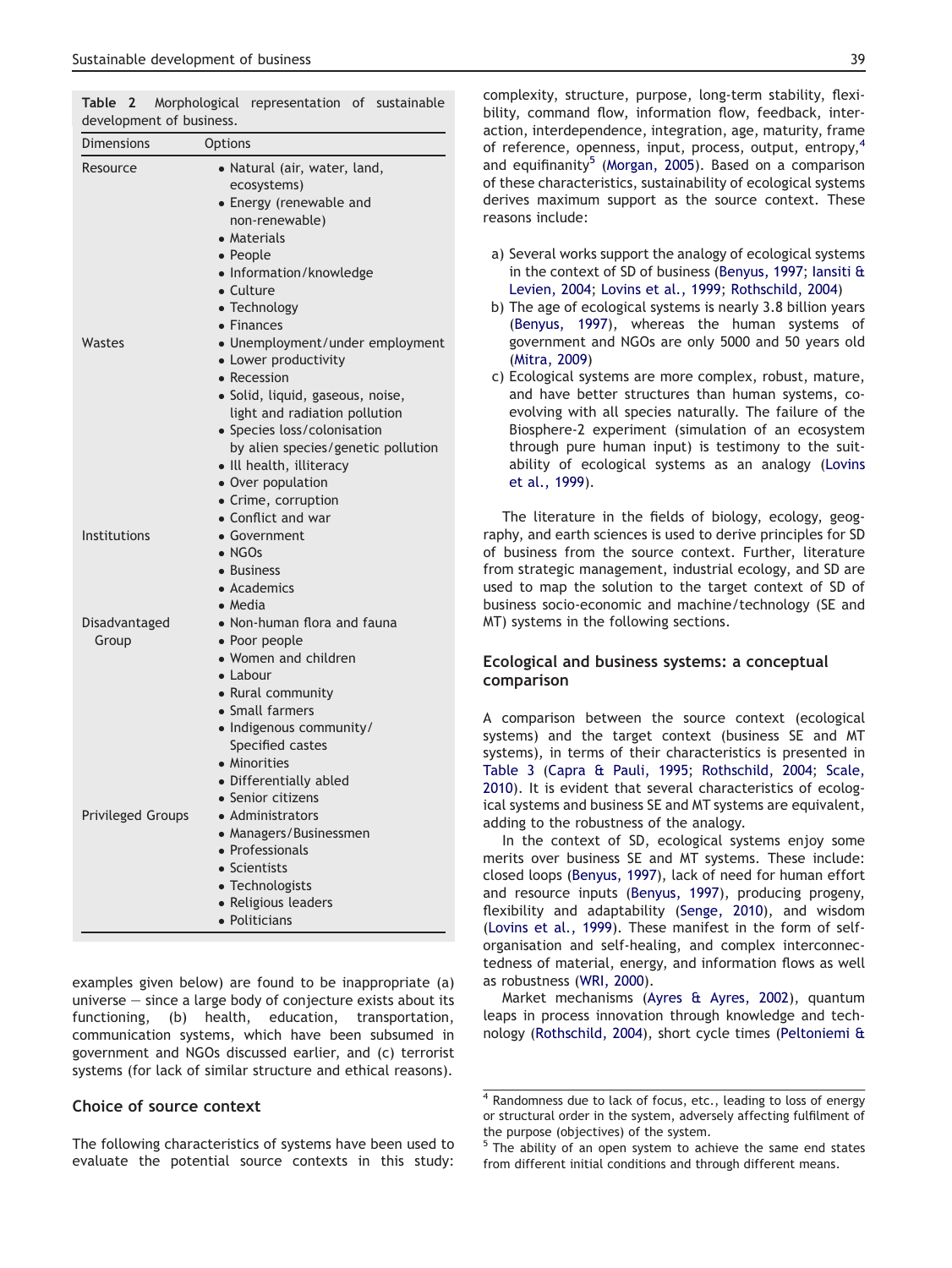<span id="page-3-0"></span>Table 2 Morphological representation of sustainable development of business.

| Dimensions               | Options                                                                                                                                                                                                                                                                                                                                                                                                                                                                                                                                     |
|--------------------------|---------------------------------------------------------------------------------------------------------------------------------------------------------------------------------------------------------------------------------------------------------------------------------------------------------------------------------------------------------------------------------------------------------------------------------------------------------------------------------------------------------------------------------------------|
| Resource<br>Wastes       | • Natural (air, water, land,<br>ecosystems)<br>• Energy (renewable and<br>non-renewable)<br>$\bullet$ Materials<br>$\bullet$ People<br>• Information/knowledge<br>$\bullet$ Culture<br>• Technology<br>$\bullet$ Finances<br>• Unemployment/under employment<br>• Lower productivity<br>• Recession<br>· Solid, liquid, gaseous, noise,<br>light and radiation pollution<br>• Species loss/colonisation<br>by alien species/genetic pollution<br>• Ill health, illiteracy<br>• Over population<br>• Crime, corruption<br>• Conflict and war |
| Institutions             | • Government<br>$\bullet$ NGOs<br>$\bullet$ Business<br>• Academics<br>$\bullet$ Media                                                                                                                                                                                                                                                                                                                                                                                                                                                      |
| Disadvantaged<br>Group   | • Non-human flora and fauna<br>• Poor people<br>• Women and children<br>• Labour<br>• Rural community<br>• Small farmers<br>· Indigenous community/<br>Specified castes<br>• Minorities<br>· Differentially abled<br>• Senior citizens                                                                                                                                                                                                                                                                                                      |
| <b>Privileged Groups</b> | • Administrators<br>• Managers/Businessmen<br>• Professionals<br>• Scientists<br>• Technologists<br>• Religious leaders<br>• Politicians                                                                                                                                                                                                                                                                                                                                                                                                    |

examples given below) are found to be inappropriate (a) universe  $-$  since a large body of conjecture exists about its functioning, (b) health, education, transportation, communication systems, which have been subsumed in government and NGOs discussed earlier, and (c) terrorist systems (for lack of similar structure and ethical reasons).

# Choice of source context

The following characteristics of systems have been used to evaluate the potential source contexts in this study: complexity, structure, purpose, long-term stability, flexibility, command flow, information flow, feedback, interaction, interdependence, integration, age, maturity, frame of reference, openness, input, process, output, entropy,4 and equifinanity<sup>5</sup> ([Morgan, 2005\)](#page-12-0). Based on a comparison of these characteristics, sustainability of ecological systems derives maximum support as the source context. These reasons include:

- a) Several works support the analogy of ecological systems in the context of SD of business [\(Benyus, 1997;](#page-11-0) [Iansiti &](#page-11-0) [Levien, 2004](#page-11-0); [Lovins et al., 1999](#page-12-0); [Rothschild, 2004](#page-12-0))
- b) The age of ecological systems is nearly 3.8 billion years ([Benyus, 1997](#page-11-0)), whereas the human systems of government and NGOs are only 5000 and 50 years old ([Mitra, 2009\)](#page-12-0)
- c) Ecological systems are more complex, robust, mature, and have better structures than human systems, coevolving with all species naturally. The failure of the Biosphere-2 experiment (simulation of an ecosystem through pure human input) is testimony to the suitability of ecological systems as an analogy ([Lovins](#page-12-0) [et al., 1999\)](#page-12-0).

The literature in the fields of biology, ecology, geography, and earth sciences is used to derive principles for SD of business from the source context. Further, literature from strategic management, industrial ecology, and SD are used to map the solution to the target context of SD of business socio-economic and machine/technology (SE and MT) systems in the following sections.

# Ecological and business systems: a conceptual comparison

A comparison between the source context (ecological systems) and the target context (business SE and MT systems), in terms of their characteristics is presented in [Table 3](#page-4-0) [\(Capra & Pauli, 1995;](#page-11-0) [Rothschild, 2004](#page-12-0); [Scale,](#page-12-0) [2010](#page-12-0)). It is evident that several characteristics of ecological systems and business SE and MT systems are equivalent, adding to the robustness of the analogy.

In the context of SD, ecological systems enjoy some merits over business SE and MT systems. These include: closed loops ([Benyus, 1997\)](#page-11-0), lack of need for human effort and resource inputs ([Benyus, 1997](#page-11-0)), producing progeny, flexibility and adaptability ([Senge, 2010\)](#page-12-0), and wisdom ([Lovins et al., 1999](#page-12-0)). These manifest in the form of selforganisation and self-healing, and complex interconnectedness of material, energy, and information flows as well as robustness ([WRI, 2000](#page-12-0)).

Market mechanisms [\(Ayres & Ayres, 2002\)](#page-11-0), quantum leaps in process innovation through knowledge and technology [\(Rothschild, 2004](#page-12-0)), short cycle times ([Peltoniemi &](#page-12-0)

<sup>4</sup> Randomness due to lack of focus, etc., leading to loss of energy or structural order in the system, adversely affecting fulfilment of the purpose (objectives) of the system.

<sup>&</sup>lt;sup>5</sup> The ability of an open system to achieve the same end states from different initial conditions and through different means.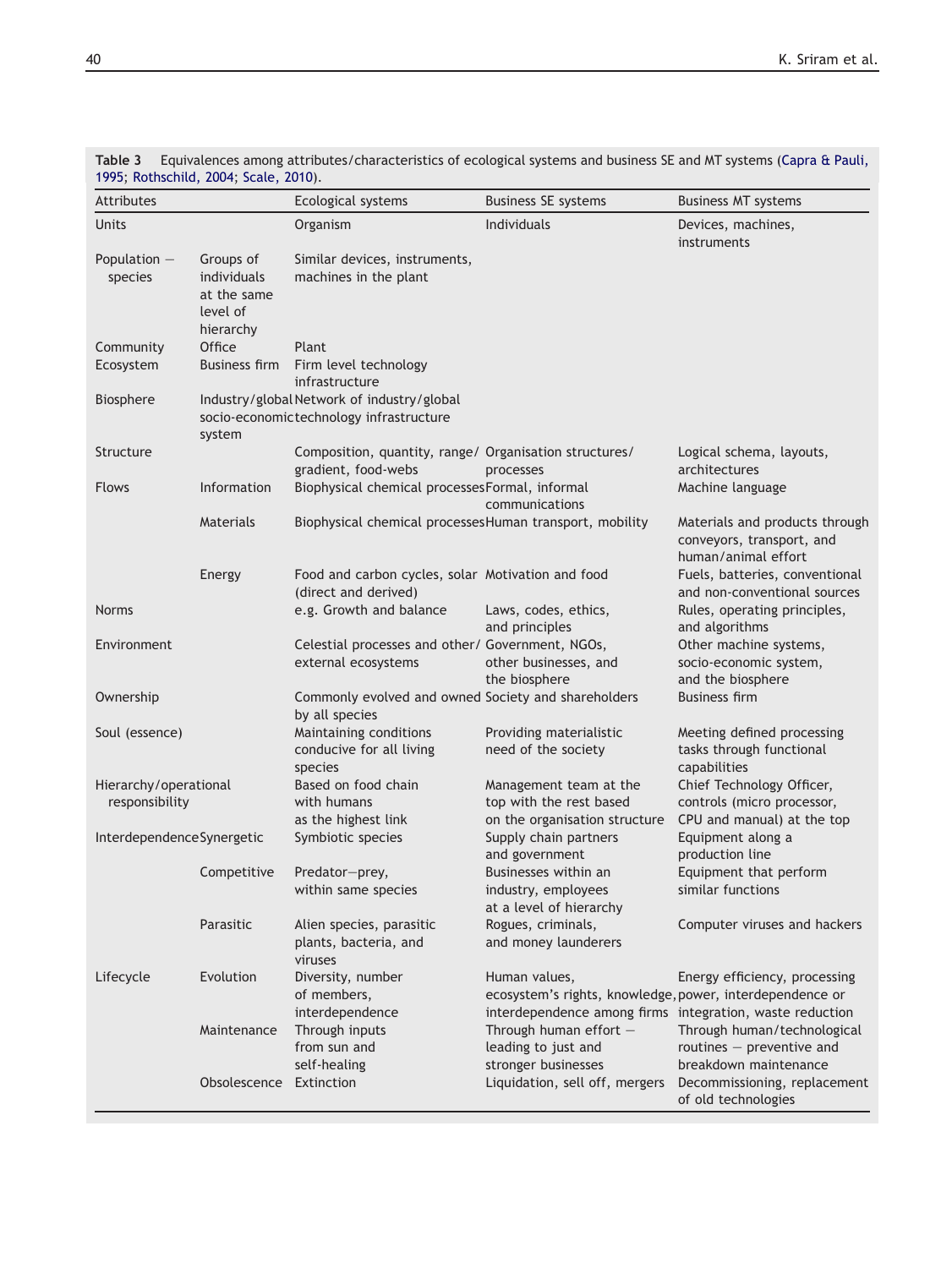| 1995; Rothschild, 2004; Scale, 2010).   |                                                                  |                                                                                       |                                                                                                                                       |                                                                                     |
|-----------------------------------------|------------------------------------------------------------------|---------------------------------------------------------------------------------------|---------------------------------------------------------------------------------------------------------------------------------------|-------------------------------------------------------------------------------------|
| <b>Attributes</b>                       |                                                                  | Ecological systems                                                                    | <b>Business SE systems</b>                                                                                                            | <b>Business MT systems</b>                                                          |
| Units                                   |                                                                  | Organism                                                                              | Individuals                                                                                                                           | Devices, machines,<br>instruments                                                   |
| Population $-$<br>species               | Groups of<br>individuals<br>at the same<br>level of<br>hierarchy | Similar devices, instruments,<br>machines in the plant                                |                                                                                                                                       |                                                                                     |
| Community                               | Office                                                           | Plant                                                                                 |                                                                                                                                       |                                                                                     |
| Ecosystem                               | <b>Business firm</b>                                             | Firm level technology<br>infrastructure                                               |                                                                                                                                       |                                                                                     |
| <b>Biosphere</b>                        | system                                                           | Industry/global Network of industry/global<br>socio-economictechnology infrastructure |                                                                                                                                       |                                                                                     |
| Structure                               |                                                                  | Composition, quantity, range/ Organisation structures/<br>gradient, food-webs         | processes                                                                                                                             | Logical schema, layouts,<br>architectures                                           |
| <b>Flows</b>                            | Information                                                      | Biophysical chemical processesFormal, informal                                        | communications                                                                                                                        | Machine language                                                                    |
|                                         | Materials                                                        | Biophysical chemical processes Human transport, mobility                              |                                                                                                                                       | Materials and products through<br>conveyors, transport, and<br>human/animal effort  |
|                                         | Energy                                                           | Food and carbon cycles, solar Motivation and food<br>(direct and derived)             |                                                                                                                                       | Fuels, batteries, conventional<br>and non-conventional sources                      |
| <b>Norms</b>                            |                                                                  | e.g. Growth and balance                                                               | Laws, codes, ethics,<br>and principles                                                                                                | Rules, operating principles,<br>and algorithms                                      |
| Environment                             |                                                                  | Celestial processes and other/ Government, NGOs,<br>external ecosystems               | other businesses, and<br>the biosphere                                                                                                | Other machine systems,<br>socio-economic system,<br>and the biosphere               |
| Ownership                               |                                                                  | Commonly evolved and owned Society and shareholders                                   |                                                                                                                                       | <b>Business firm</b>                                                                |
| Soul (essence)                          |                                                                  | by all species<br>Maintaining conditions<br>conducive for all living<br>species       | Providing materialistic<br>need of the society                                                                                        | Meeting defined processing<br>tasks through functional<br>capabilities              |
| Hierarchy/operational<br>responsibility |                                                                  | Based on food chain<br>with humans                                                    | Management team at the<br>top with the rest based                                                                                     | Chief Technology Officer,<br>controls (micro processor,                             |
| Interdependence Synergetic              |                                                                  | as the highest link<br>Symbiotic species                                              | on the organisation structure<br>Supply chain partners                                                                                | CPU and manual) at the top<br>Equipment along a<br>production line                  |
|                                         | Competitive                                                      | Predator-prey,<br>within same species                                                 | and government<br>Businesses within an<br>industry, employees<br>at a level of hierarchy                                              | Equipment that perform<br>similar functions                                         |
|                                         | Parasitic                                                        | Alien species, parasitic<br>plants, bacteria, and<br>viruses                          | Rogues, criminals,<br>and money launderers                                                                                            | Computer viruses and hackers                                                        |
| Lifecycle                               | Evolution                                                        | Diversity, number<br>of members,<br>interdependence                                   | Human values,<br>ecosystem's rights, knowledge, power, interdependence or<br>interdependence among firms integration, waste reduction | Energy efficiency, processing                                                       |
|                                         | Maintenance                                                      | Through inputs<br>from sun and<br>self-healing                                        | Through human effort $-$<br>leading to just and<br>stronger businesses                                                                | Through human/technological<br>routines $-$ preventive and<br>breakdown maintenance |
|                                         | Obsolescence                                                     | Extinction                                                                            | Liquidation, sell off, mergers                                                                                                        | Decommissioning, replacement<br>of old technologies                                 |

<span id="page-4-0"></span>Table 3 Equivalences among attributes/characteristics of ecological systems and business SE and MT systems [\(Capra & Pauli,](#page-11-0)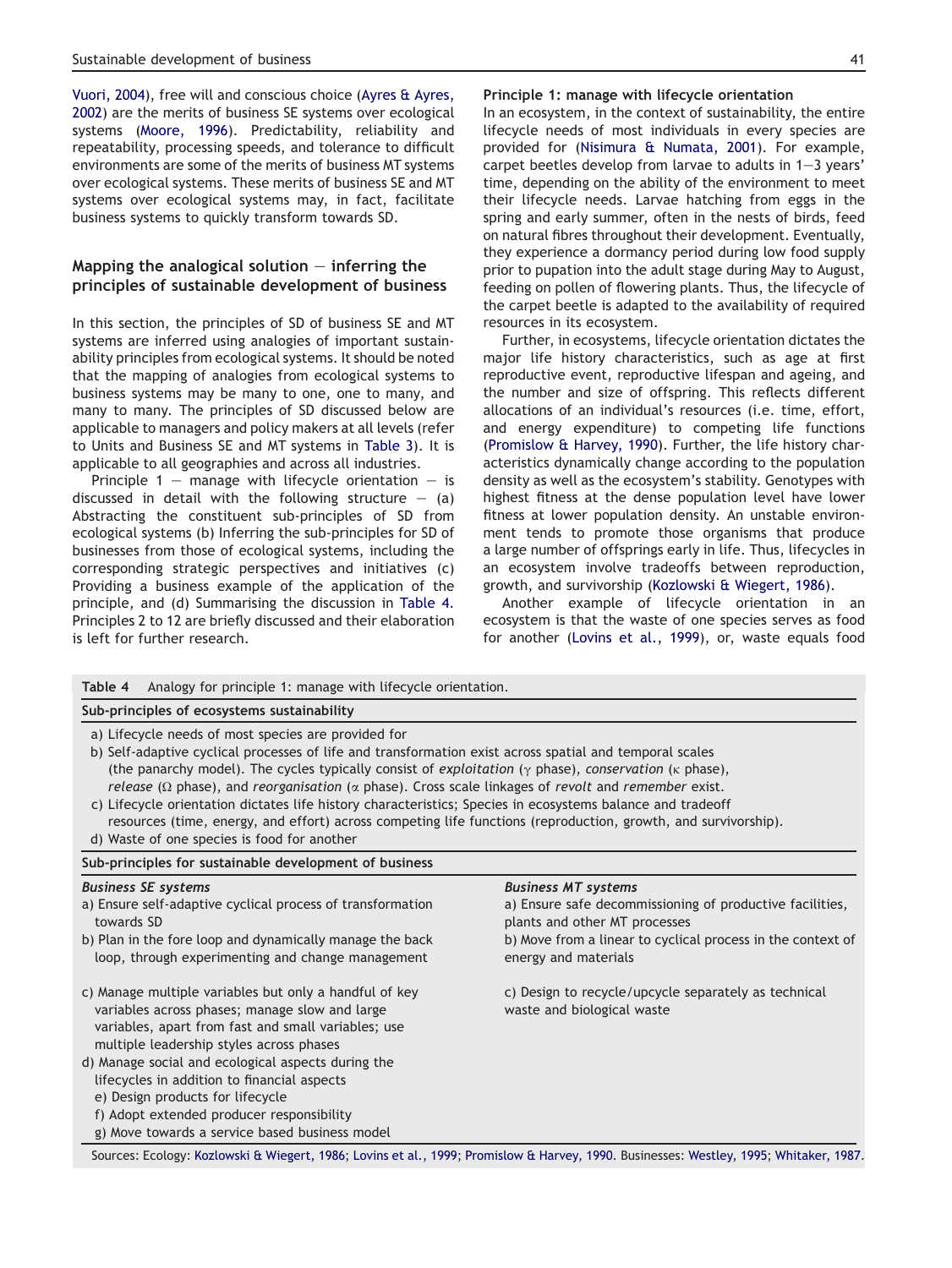<span id="page-5-0"></span>[Vuori, 2004\)](#page-12-0), free will and conscious choice [\(Ayres & Ayres,](#page-11-0) [2002](#page-11-0)) are the merits of business SE systems over ecological systems [\(Moore, 1996\)](#page-12-0). Predictability, reliability and repeatability, processing speeds, and tolerance to difficult environments are some of the merits of business MT systems over ecological systems. These merits of business SE and MT systems over ecological systems may, in fact, facilitate business systems to quickly transform towards SD.

# Mapping the analogical solution  $-$  inferring the principles of sustainable development of business

In this section, the principles of SD of business SE and MT systems are inferred using analogies of important sustainability principles from ecological systems. It should be noted that the mapping of analogies from ecological systems to business systems may be many to one, one to many, and many to many. The principles of SD discussed below are applicable to managers and policy makers at all levels (refer to Units and Business SE and MT systems in [Table 3\)](#page-4-0). It is applicable to all geographies and across all industries.

Principle 1 – manage with lifecycle orientation – is discussed in detail with the following structure  $-$  (a) Abstracting the constituent sub-principles of SD from ecological systems (b) Inferring the sub-principles for SD of businesses from those of ecological systems, including the corresponding strategic perspectives and initiatives (c) Providing a business example of the application of the principle, and (d) Summarising the discussion in Table 4. Principles 2 to 12 are briefly discussed and their elaboration is left for further research.

#### Principle 1: manage with lifecycle orientation

In an ecosystem, in the context of sustainability, the entire lifecycle needs of most individuals in every species are provided for [\(Nisimura & Numata, 2001\)](#page-12-0). For example, carpet beetles develop from larvae to adults in  $1-3$  years' time, depending on the ability of the environment to meet their lifecycle needs. Larvae hatching from eggs in the spring and early summer, often in the nests of birds, feed on natural fibres throughout their development. Eventually, they experience a dormancy period during low food supply prior to pupation into the adult stage during May to August, feeding on pollen of flowering plants. Thus, the lifecycle of the carpet beetle is adapted to the availability of required resources in its ecosystem.

Further, in ecosystems, lifecycle orientation dictates the major life history characteristics, such as age at first reproductive event, reproductive lifespan and ageing, and the number and size of offspring. This reflects different allocations of an individual's resources (i.e. time, effort, and energy expenditure) to competing life functions ([Promislow & Harvey, 1990\)](#page-12-0). Further, the life history characteristics dynamically change according to the population density as well as the ecosystem's stability. Genotypes with highest fitness at the dense population level have lower fitness at lower population density. An unstable environment tends to promote those organisms that produce a large number of offsprings early in life. Thus, lifecycles in an ecosystem involve tradeoffs between reproduction, growth, and survivorship [\(Kozlowski & Wiegert, 1986](#page-11-0)).

Another example of lifecycle orientation in an ecosystem is that the waste of one species serves as food for another [\(Lovins et al., 1999\)](#page-12-0), or, waste equals food

|  |  | Table 4 Analogy for principle 1: manage with lifecycle orientation. |  |
|--|--|---------------------------------------------------------------------|--|
|--|--|---------------------------------------------------------------------|--|

Sub-principles of ecosystems sustainability

| a) Lifecycle needs of most species are provided for |
|-----------------------------------------------------|
|-----------------------------------------------------|

- b) Self-adaptive cyclical processes of life and transformation exist across spatial and temporal scales (the panarchy model). The cycles typically consist of exploitation ( $\gamma$  phase), conservation ( $\kappa$  phase), release ( $\Omega$  phase), and reorganisation ( $\alpha$  phase). Cross scale linkages of revolt and remember exist.
- c) Lifecycle orientation dictates life history characteristics; Species in ecosystems balance and tradeoff resources (time, energy, and effort) across competing life functions (reproduction, growth, and survivorship).
- d) Waste of one species is food for another

| Sub-principles for sustainable development of business                                                                                                                                                                                                                                                                                                                                                                                              |                                                                                                                                                                                                                |  |  |  |
|-----------------------------------------------------------------------------------------------------------------------------------------------------------------------------------------------------------------------------------------------------------------------------------------------------------------------------------------------------------------------------------------------------------------------------------------------------|----------------------------------------------------------------------------------------------------------------------------------------------------------------------------------------------------------------|--|--|--|
| <b>Business SE systems</b><br>a) Ensure self-adaptive cyclical process of transformation<br>towards SD<br>b) Plan in the fore loop and dynamically manage the back<br>loop, through experimenting and change management                                                                                                                                                                                                                             | <b>Business MT systems</b><br>a) Ensure safe decommissioning of productive facilities,<br>plants and other MT processes<br>b) Move from a linear to cyclical process in the context of<br>energy and materials |  |  |  |
| c) Manage multiple variables but only a handful of key<br>variables across phases; manage slow and large<br>variables, apart from fast and small variables; use<br>multiple leadership styles across phases<br>d) Manage social and ecological aspects during the<br>lifecycles in addition to financial aspects<br>e) Design products for lifecycle<br>f) Adopt extended producer responsibility<br>g) Move towards a service based business model | c) Design to recycle/upcycle separately as technical<br>waste and biological waste                                                                                                                             |  |  |  |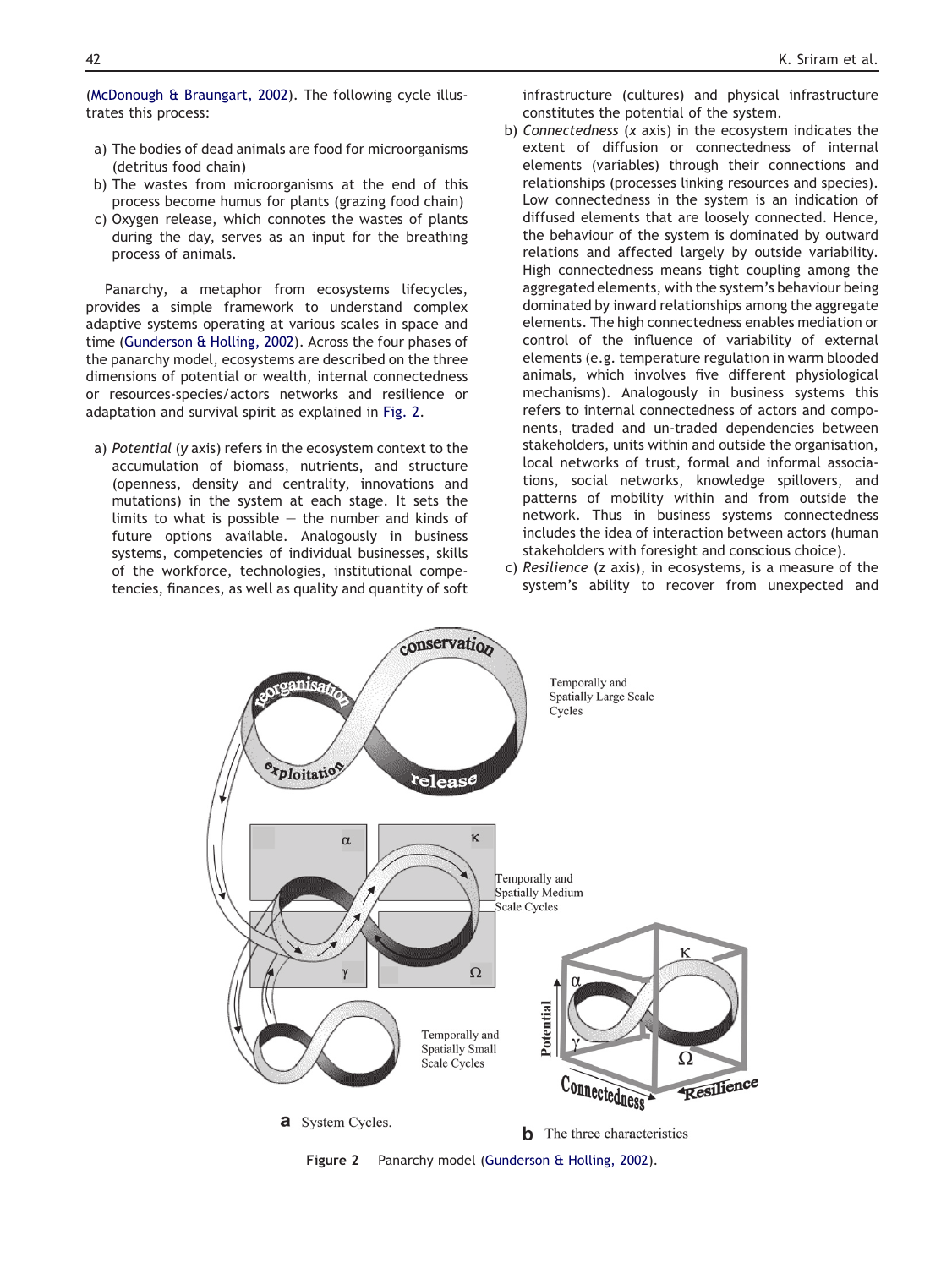[\(McDonough & Braungart, 2002](#page-12-0)). The following cycle illustrates this process:

- a) The bodies of dead animals are food for microorganisms (detritus food chain)
- b) The wastes from microorganisms at the end of this process become humus for plants (grazing food chain)
- c) Oxygen release, which connotes the wastes of plants during the day, serves as an input for the breathing process of animals.

Panarchy, a metaphor from ecosystems lifecycles, provides a simple framework to understand complex adaptive systems operating at various scales in space and time ([Gunderson & Holling, 2002\)](#page-11-0). Across the four phases of the panarchy model, ecosystems are described on the three dimensions of potential or wealth, internal connectedness or resources-species/actors networks and resilience or adaptation and survival spirit as explained in Fig. 2.

a) Potential (y axis) refers in the ecosystem context to the accumulation of biomass, nutrients, and structure (openness, density and centrality, innovations and mutations) in the system at each stage. It sets the limits to what is possible  $-$  the number and kinds of future options available. Analogously in business systems, competencies of individual businesses, skills of the workforce, technologies, institutional competencies, finances, as well as quality and quantity of soft infrastructure (cultures) and physical infrastructure constitutes the potential of the system.

- b) Connectedness (x axis) in the ecosystem indicates the extent of diffusion or connectedness of internal elements (variables) through their connections and relationships (processes linking resources and species). Low connectedness in the system is an indication of diffused elements that are loosely connected. Hence, the behaviour of the system is dominated by outward relations and affected largely by outside variability. High connectedness means tight coupling among the aggregated elements, with the system's behaviour being dominated by inward relationships among the aggregate elements. The high connectedness enables mediation or control of the influence of variability of external elements (e.g. temperature regulation in warm blooded animals, which involves five different physiological mechanisms). Analogously in business systems this refers to internal connectedness of actors and components, traded and un-traded dependencies between stakeholders, units within and outside the organisation, local networks of trust, formal and informal associations, social networks, knowledge spillovers, and patterns of mobility within and from outside the network. Thus in business systems connectedness includes the idea of interaction between actors (human stakeholders with foresight and conscious choice).
- c) Resilience (z axis), in ecosystems, is a measure of the system's ability to recover from unexpected and



Figure 2 Panarchy model ([Gunderson & Holling, 2002\)](#page-11-0).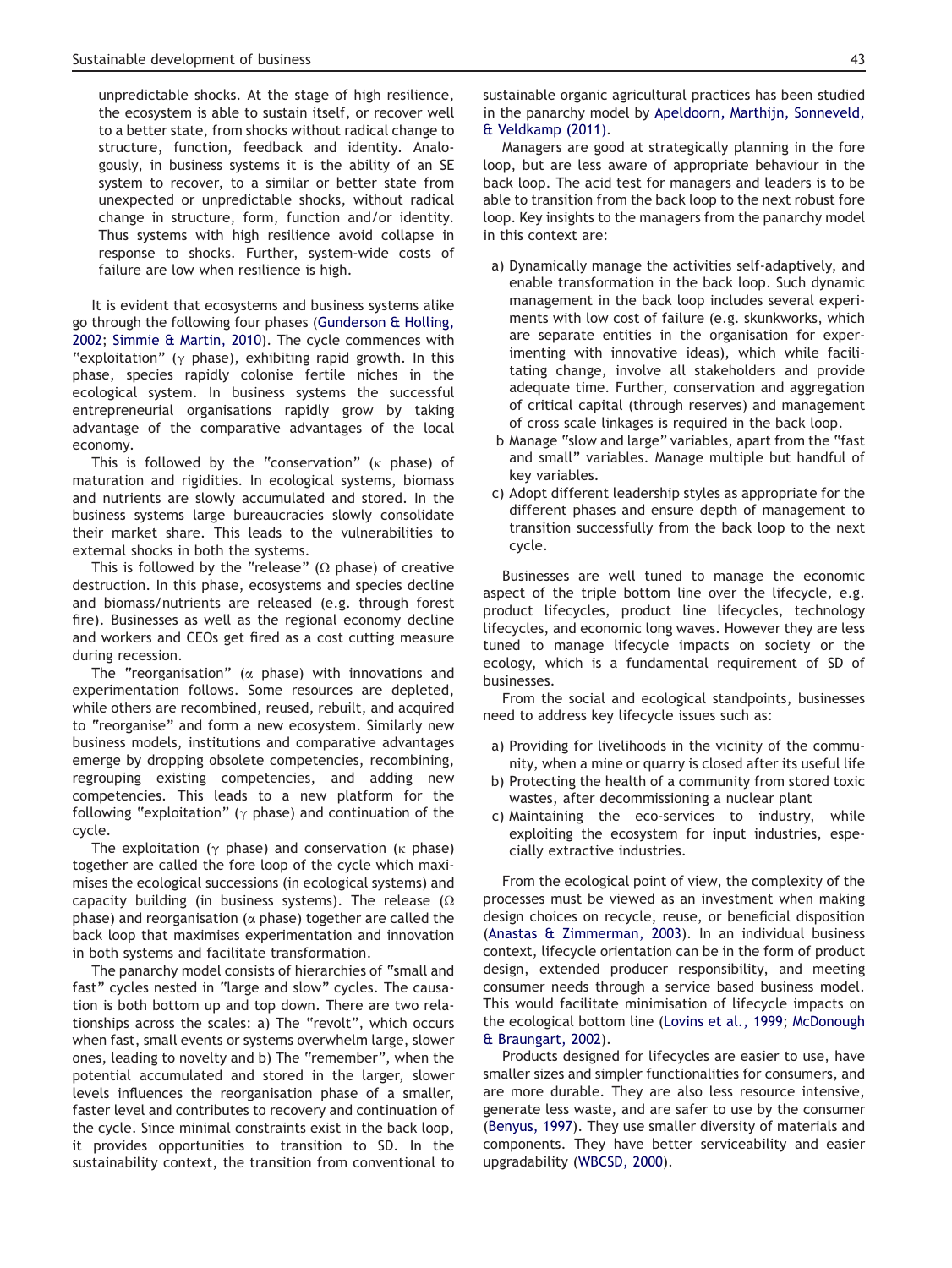unpredictable shocks. At the stage of high resilience, the ecosystem is able to sustain itself, or recover well to a better state, from shocks without radical change to structure, function, feedback and identity. Analogously, in business systems it is the ability of an SE system to recover, to a similar or better state from unexpected or unpredictable shocks, without radical change in structure, form, function and/or identity. Thus systems with high resilience avoid collapse in response to shocks. Further, system-wide costs of failure are low when resilience is high.

It is evident that ecosystems and business systems alike go through the following four phases ([Gunderson & Holling,](#page-11-0) [2002](#page-11-0); [Simmie & Martin, 2010\)](#page-12-0). The cycle commences with "exploitation" ( $\gamma$  phase), exhibiting rapid growth. In this phase, species rapidly colonise fertile niches in the ecological system. In business systems the successful entrepreneurial organisations rapidly grow by taking advantage of the comparative advantages of the local economy.

This is followed by the "conservation" ( $\kappa$  phase) of maturation and rigidities. In ecological systems, biomass and nutrients are slowly accumulated and stored. In the business systems large bureaucracies slowly consolidate their market share. This leads to the vulnerabilities to external shocks in both the systems.

This is followed by the "release" ( $\Omega$  phase) of creative destruction. In this phase, ecosystems and species decline and biomass/nutrients are released (e.g. through forest fire). Businesses as well as the regional economy decline and workers and CEOs get fired as a cost cutting measure during recession.

The "reorganisation" ( $\alpha$  phase) with innovations and experimentation follows. Some resources are depleted, while others are recombined, reused, rebuilt, and acquired to "reorganise" and form a new ecosystem. Similarly new business models, institutions and comparative advantages emerge by dropping obsolete competencies, recombining, regrouping existing competencies, and adding new competencies. This leads to a new platform for the following "exploitation" ( $\gamma$  phase) and continuation of the cycle.

The exploitation ( $\gamma$  phase) and conservation ( $\kappa$  phase) together are called the fore loop of the cycle which maximises the ecological successions (in ecological systems) and capacity building (in business systems). The release ( $\Omega$ phase) and reorganisation ( $\alpha$  phase) together are called the back loop that maximises experimentation and innovation in both systems and facilitate transformation.

The panarchy model consists of hierarchies of "small and fast" cycles nested in "large and slow" cycles. The causation is both bottom up and top down. There are two relationships across the scales: a) The "revolt", which occurs when fast, small events or systems overwhelm large, slower ones, leading to novelty and b) The "remember", when the potential accumulated and stored in the larger, slower levels influences the reorganisation phase of a smaller, faster level and contributes to recovery and continuation of the cycle. Since minimal constraints exist in the back loop, it provides opportunities to transition to SD. In the sustainability context, the transition from conventional to sustainable organic agricultural practices has been studied in the panarchy model by [Apeldoorn, Marthijn, Sonneveld,](#page-11-0) [& Veldkamp \(2011\).](#page-11-0)

Managers are good at strategically planning in the fore loop, but are less aware of appropriate behaviour in the back loop. The acid test for managers and leaders is to be able to transition from the back loop to the next robust fore loop. Key insights to the managers from the panarchy model in this context are:

- a) Dynamically manage the activities self-adaptively, and enable transformation in the back loop. Such dynamic management in the back loop includes several experiments with low cost of failure (e.g. skunkworks, which are separate entities in the organisation for experimenting with innovative ideas), which while facilitating change, involve all stakeholders and provide adequate time. Further, conservation and aggregation of critical capital (through reserves) and management of cross scale linkages is required in the back loop.
- b Manage "slow and large" variables, apart from the "fast and small" variables. Manage multiple but handful of key variables.
- c) Adopt different leadership styles as appropriate for the different phases and ensure depth of management to transition successfully from the back loop to the next cycle.

Businesses are well tuned to manage the economic aspect of the triple bottom line over the lifecycle, e.g. product lifecycles, product line lifecycles, technology lifecycles, and economic long waves. However they are less tuned to manage lifecycle impacts on society or the ecology, which is a fundamental requirement of SD of businesses.

From the social and ecological standpoints, businesses need to address key lifecycle issues such as:

- a) Providing for livelihoods in the vicinity of the community, when a mine or quarry is closed after its useful life
- b) Protecting the health of a community from stored toxic wastes, after decommissioning a nuclear plant
- c) Maintaining the eco-services to industry, while exploiting the ecosystem for input industries, especially extractive industries.

From the ecological point of view, the complexity of the processes must be viewed as an investment when making design choices on recycle, reuse, or beneficial disposition ([Anastas & Zimmerman, 2003\)](#page-11-0). In an individual business context, lifecycle orientation can be in the form of product design, extended producer responsibility, and meeting consumer needs through a service based business model. This would facilitate minimisation of lifecycle impacts on the ecological bottom line [\(Lovins et al., 1999;](#page-12-0) [McDonough](#page-12-0) [& Braungart, 2002](#page-12-0)).

Products designed for lifecycles are easier to use, have smaller sizes and simpler functionalities for consumers, and are more durable. They are also less resource intensive, generate less waste, and are safer to use by the consumer ([Benyus, 1997](#page-11-0)). They use smaller diversity of materials and components. They have better serviceability and easier upgradability ([WBCSD, 2000\)](#page-12-0).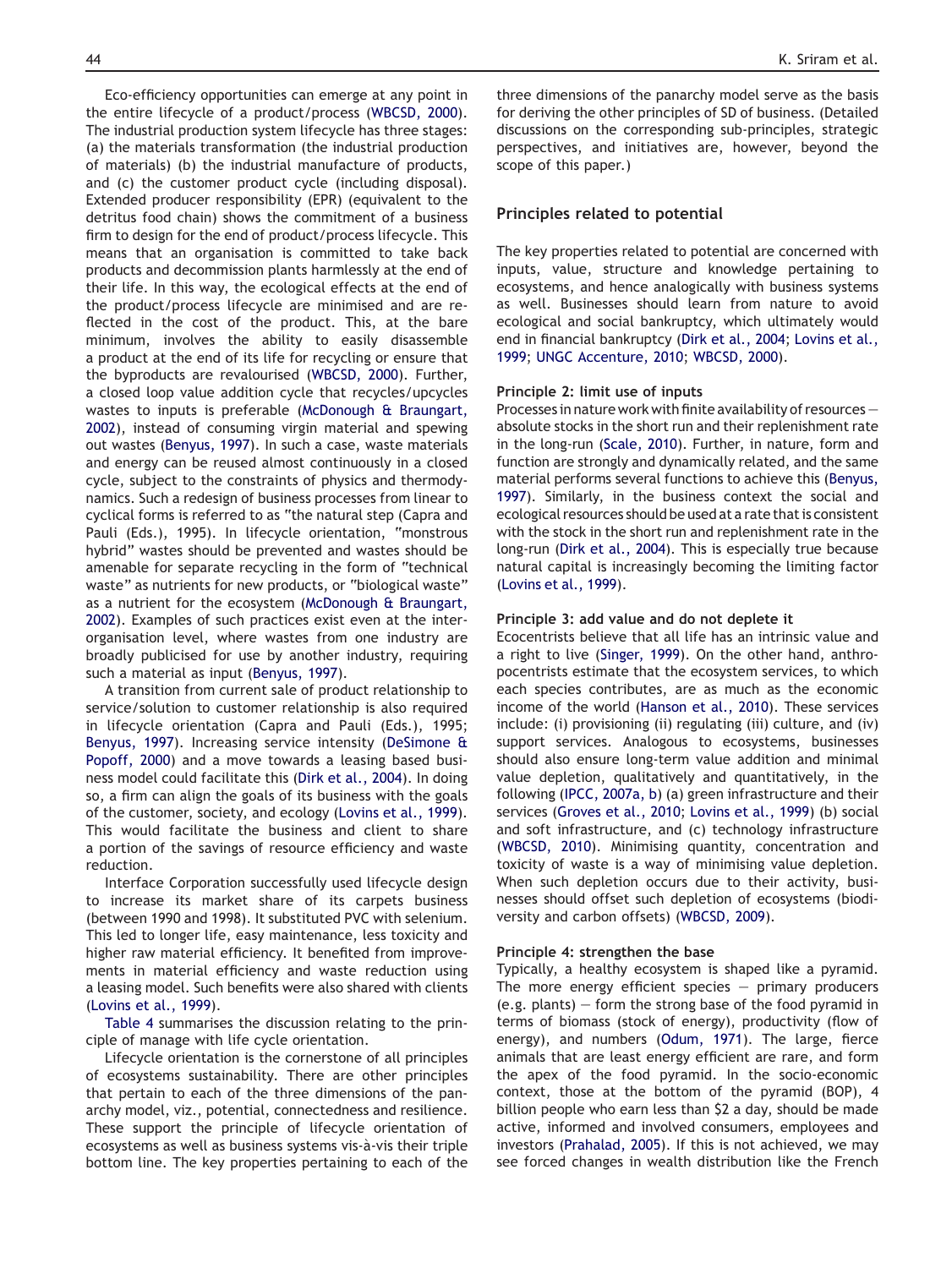Eco-efficiency opportunities can emerge at any point in the entire lifecycle of a product/process [\(WBCSD, 2000](#page-12-0)). The industrial production system lifecycle has three stages: (a) the materials transformation (the industrial production of materials) (b) the industrial manufacture of products, and (c) the customer product cycle (including disposal). Extended producer responsibility (EPR) (equivalent to the detritus food chain) shows the commitment of a business firm to design for the end of product/process lifecycle. This means that an organisation is committed to take back products and decommission plants harmlessly at the end of their life. In this way, the ecological effects at the end of the product/process lifecycle are minimised and are reflected in the cost of the product. This, at the bare minimum, involves the ability to easily disassemble a product at the end of its life for recycling or ensure that the byproducts are revalourised ([WBCSD, 2000](#page-12-0)). Further, a closed loop value addition cycle that recycles/upcycles wastes to inputs is preferable [\(McDonough & Braungart,](#page-12-0) [2002](#page-12-0)), instead of consuming virgin material and spewing out wastes [\(Benyus, 1997](#page-11-0)). In such a case, waste materials and energy can be reused almost continuously in a closed cycle, subject to the constraints of physics and thermodynamics. Such a redesign of business processes from linear to cyclical forms is referred to as "the natural step (Capra and Pauli (Eds.), 1995). In lifecycle orientation, "monstrous hybrid" wastes should be prevented and wastes should be amenable for separate recycling in the form of "technical waste" as nutrients for new products, or "biological waste" as a nutrient for the ecosystem [\(McDonough & Braungart,](#page-12-0) [2002](#page-12-0)). Examples of such practices exist even at the interorganisation level, where wastes from one industry are broadly publicised for use by another industry, requiring such a material as input [\(Benyus, 1997](#page-11-0)).

A transition from current sale of product relationship to service/solution to customer relationship is also required in lifecycle orientation (Capra and Pauli (Eds.), 1995; [Benyus, 1997\)](#page-11-0). Increasing service intensity [\(DeSimone &](#page-11-0) [Popoff, 2000\)](#page-11-0) and a move towards a leasing based business model could facilitate this ([Dirk et al., 2004\)](#page-11-0). In doing so, a firm can align the goals of its business with the goals of the customer, society, and ecology ([Lovins et al., 1999](#page-12-0)). This would facilitate the business and client to share a portion of the savings of resource efficiency and waste reduction.

Interface Corporation successfully used lifecycle design to increase its market share of its carpets business (between 1990 and 1998). It substituted PVC with selenium. This led to longer life, easy maintenance, less toxicity and higher raw material efficiency. It benefited from improvements in material efficiency and waste reduction using a leasing model. Such benefits were also shared with clients [\(Lovins et al., 1999](#page-12-0)).

[Table 4](#page-5-0) summarises the discussion relating to the principle of manage with life cycle orientation.

Lifecycle orientation is the cornerstone of all principles of ecosystems sustainability. There are other principles that pertain to each of the three dimensions of the panarchy model, viz., potential, connectedness and resilience. These support the principle of lifecycle orientation of ecosystems as well as business systems vis-à-vis their triple bottom line. The key properties pertaining to each of the

three dimensions of the panarchy model serve as the basis for deriving the other principles of SD of business. (Detailed discussions on the corresponding sub-principles, strategic perspectives, and initiatives are, however, beyond the scope of this paper.)

# Principles related to potential

The key properties related to potential are concerned with inputs, value, structure and knowledge pertaining to ecosystems, and hence analogically with business systems as well. Businesses should learn from nature to avoid ecological and social bankruptcy, which ultimately would end in financial bankruptcy ([Dirk et al., 2004](#page-11-0); [Lovins et al.,](#page-12-0) [1999](#page-12-0); [UNGC Accenture, 2010;](#page-12-0) [WBCSD, 2000\)](#page-12-0).

#### Principle 2: limit use of inputs

Processes in nature work with finite availability of resources  $$ absolute stocks in the short run and their replenishment rate in the long-run ([Scale, 2010\)](#page-12-0). Further, in nature, form and function are strongly and dynamically related, and the same material performs several functions to achieve this ([Benyus,](#page-11-0) [1997](#page-11-0)). Similarly, in the business context the social and ecological resources should be used at a rate that is consistent with the stock in the short run and replenishment rate in the long-run [\(Dirk et al., 2004](#page-11-0)). This is especially true because natural capital is increasingly becoming the limiting factor [\(Lovins et al., 1999\)](#page-12-0).

#### Principle 3: add value and do not deplete it

Ecocentrists believe that all life has an intrinsic value and a right to live ([Singer, 1999\)](#page-12-0). On the other hand, anthropocentrists estimate that the ecosystem services, to which each species contributes, are as much as the economic income of the world ([Hanson et al., 2010\)](#page-11-0). These services include: (i) provisioning (ii) regulating (iii) culture, and (iv) support services. Analogous to ecosystems, businesses should also ensure long-term value addition and minimal value depletion, qualitatively and quantitatively, in the following [\(IPCC, 2007a, b](#page-11-0)) (a) green infrastructure and their services ([Groves et al., 2010;](#page-11-0) [Lovins et al., 1999\)](#page-12-0) (b) social and soft infrastructure, and (c) technology infrastructure [\(WBCSD, 2010\)](#page-12-0). Minimising quantity, concentration and toxicity of waste is a way of minimising value depletion. When such depletion occurs due to their activity, businesses should offset such depletion of ecosystems (biodiversity and carbon offsets) ([WBCSD, 2009\)](#page-12-0).

#### Principle 4: strengthen the base

Typically, a healthy ecosystem is shaped like a pyramid. The more energy efficient species  $-$  primary producers (e.g. plants)  $-$  form the strong base of the food pyramid in terms of biomass (stock of energy), productivity (flow of energy), and numbers ([Odum, 1971\)](#page-12-0). The large, fierce animals that are least energy efficient are rare, and form the apex of the food pyramid. In the socio-economic context, those at the bottom of the pyramid (BOP), 4 billion people who earn less than \$2 a day, should be made active, informed and involved consumers, employees and investors [\(Prahalad, 2005\)](#page-12-0). If this is not achieved, we may see forced changes in wealth distribution like the French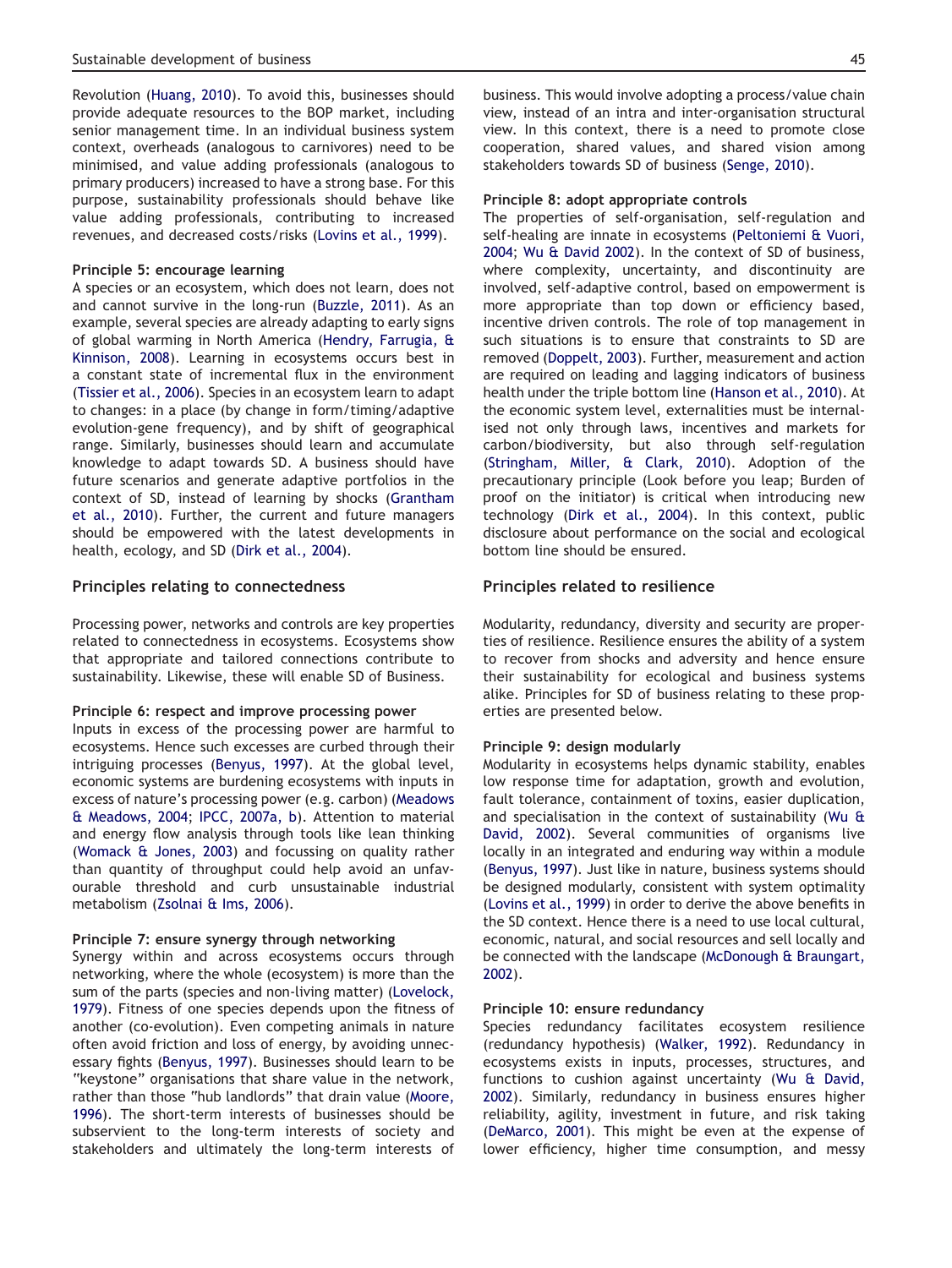Revolution ([Huang, 2010\)](#page-11-0). To avoid this, businesses should provide adequate resources to the BOP market, including senior management time. In an individual business system context, overheads (analogous to carnivores) need to be minimised, and value adding professionals (analogous to primary producers) increased to have a strong base. For this purpose, sustainability professionals should behave like value adding professionals, contributing to increased revenues, and decreased costs/risks ([Lovins et al., 1999\)](#page-12-0).

#### Principle 5: encourage learning

A species or an ecosystem, which does not learn, does not and cannot survive in the long-run ([Buzzle, 2011\)](#page-11-0). As an example, several species are already adapting to early signs of global warming in North America [\(Hendry, Farrugia, &](#page-11-0) [Kinnison, 2008](#page-11-0)). Learning in ecosystems occurs best in a constant state of incremental flux in the environment ([Tissier et al., 2006\)](#page-12-0). Species in an ecosystem learn to adapt to changes: in a place (by change in form/timing/adaptive evolution-gene frequency), and by shift of geographical range. Similarly, businesses should learn and accumulate knowledge to adapt towards SD. A business should have future scenarios and generate adaptive portfolios in the context of SD, instead of learning by shocks [\(Grantham](#page-11-0) [et al., 2010\)](#page-11-0). Further, the current and future managers should be empowered with the latest developments in health, ecology, and SD ([Dirk et al., 2004\)](#page-11-0).

# Principles relating to connectedness

Processing power, networks and controls are key properties related to connectedness in ecosystems. Ecosystems show that appropriate and tailored connections contribute to sustainability. Likewise, these will enable SD of Business.

#### Principle 6: respect and improve processing power

Inputs in excess of the processing power are harmful to ecosystems. Hence such excesses are curbed through their intriguing processes [\(Benyus, 1997\)](#page-11-0). At the global level, economic systems are burdening ecosystems with inputs in excess of nature's processing power (e.g. carbon) [\(Meadows](#page-12-0) [& Meadows, 2004;](#page-12-0) [IPCC, 2007a, b\)](#page-11-0). Attention to material and energy flow analysis through tools like lean thinking ([Womack & Jones, 2003\)](#page-12-0) and focussing on quality rather than quantity of throughput could help avoid an unfavourable threshold and curb unsustainable industrial metabolism [\(Zsolnai & Ims, 2006\)](#page-12-0).

#### Principle 7: ensure synergy through networking

Synergy within and across ecosystems occurs through networking, where the whole (ecosystem) is more than the sum of the parts (species and non-living matter) ([Lovelock,](#page-12-0) [1979](#page-12-0)). Fitness of one species depends upon the fitness of another (co-evolution). Even competing animals in nature often avoid friction and loss of energy, by avoiding unnecessary fights ([Benyus, 1997\)](#page-11-0). Businesses should learn to be "keystone" organisations that share value in the network, rather than those "hub landlords" that drain value ([Moore,](#page-12-0) [1996](#page-12-0)). The short-term interests of businesses should be subservient to the long-term interests of society and stakeholders and ultimately the long-term interests of

business. This would involve adopting a process/value chain view, instead of an intra and inter-organisation structural view. In this context, there is a need to promote close cooperation, shared values, and shared vision among stakeholders towards SD of business ([Senge, 2010\)](#page-12-0).

#### Principle 8: adopt appropriate controls

The properties of self-organisation, self-regulation and self-healing are innate in ecosystems [\(Peltoniemi & Vuori,](#page-12-0) [2004](#page-12-0); [Wu & David 2002](#page-12-0)). In the context of SD of business, where complexity, uncertainty, and discontinuity are involved, self-adaptive control, based on empowerment is more appropriate than top down or efficiency based, incentive driven controls. The role of top management in such situations is to ensure that constraints to SD are removed ([Doppelt, 2003\)](#page-11-0). Further, measurement and action are required on leading and lagging indicators of business health under the triple bottom line [\(Hanson et al., 2010\)](#page-11-0). At the economic system level, externalities must be internalised not only through laws, incentives and markets for carbon/biodiversity, but also through self-regulation ([Stringham, Miller, & Clark, 2010](#page-12-0)). Adoption of the precautionary principle (Look before you leap; Burden of proof on the initiator) is critical when introducing new technology ([Dirk et al., 2004\)](#page-11-0). In this context, public disclosure about performance on the social and ecological bottom line should be ensured.

# Principles related to resilience

Modularity, redundancy, diversity and security are properties of resilience. Resilience ensures the ability of a system to recover from shocks and adversity and hence ensure their sustainability for ecological and business systems alike. Principles for SD of business relating to these properties are presented below.

#### Principle 9: design modularly

Modularity in ecosystems helps dynamic stability, enables low response time for adaptation, growth and evolution, fault tolerance, containment of toxins, easier duplication, and specialisation in the context of sustainability [\(Wu &](#page-12-0) [David, 2002](#page-12-0)). Several communities of organisms live locally in an integrated and enduring way within a module ([Benyus, 1997](#page-11-0)). Just like in nature, business systems should be designed modularly, consistent with system optimality ([Lovins et al., 1999\)](#page-12-0) in order to derive the above benefits in the SD context. Hence there is a need to use local cultural, economic, natural, and social resources and sell locally and be connected with the landscape ([McDonough & Braungart,](#page-12-0) [2002](#page-12-0)).

#### Principle 10: ensure redundancy

Species redundancy facilitates ecosystem resilience (redundancy hypothesis) ([Walker, 1992\)](#page-12-0). Redundancy in ecosystems exists in inputs, processes, structures, and functions to cushion against uncertainty ([Wu & David,](#page-12-0) [2002](#page-12-0)). Similarly, redundancy in business ensures higher reliability, agility, investment in future, and risk taking ([DeMarco, 2001\)](#page-11-0). This might be even at the expense of lower efficiency, higher time consumption, and messy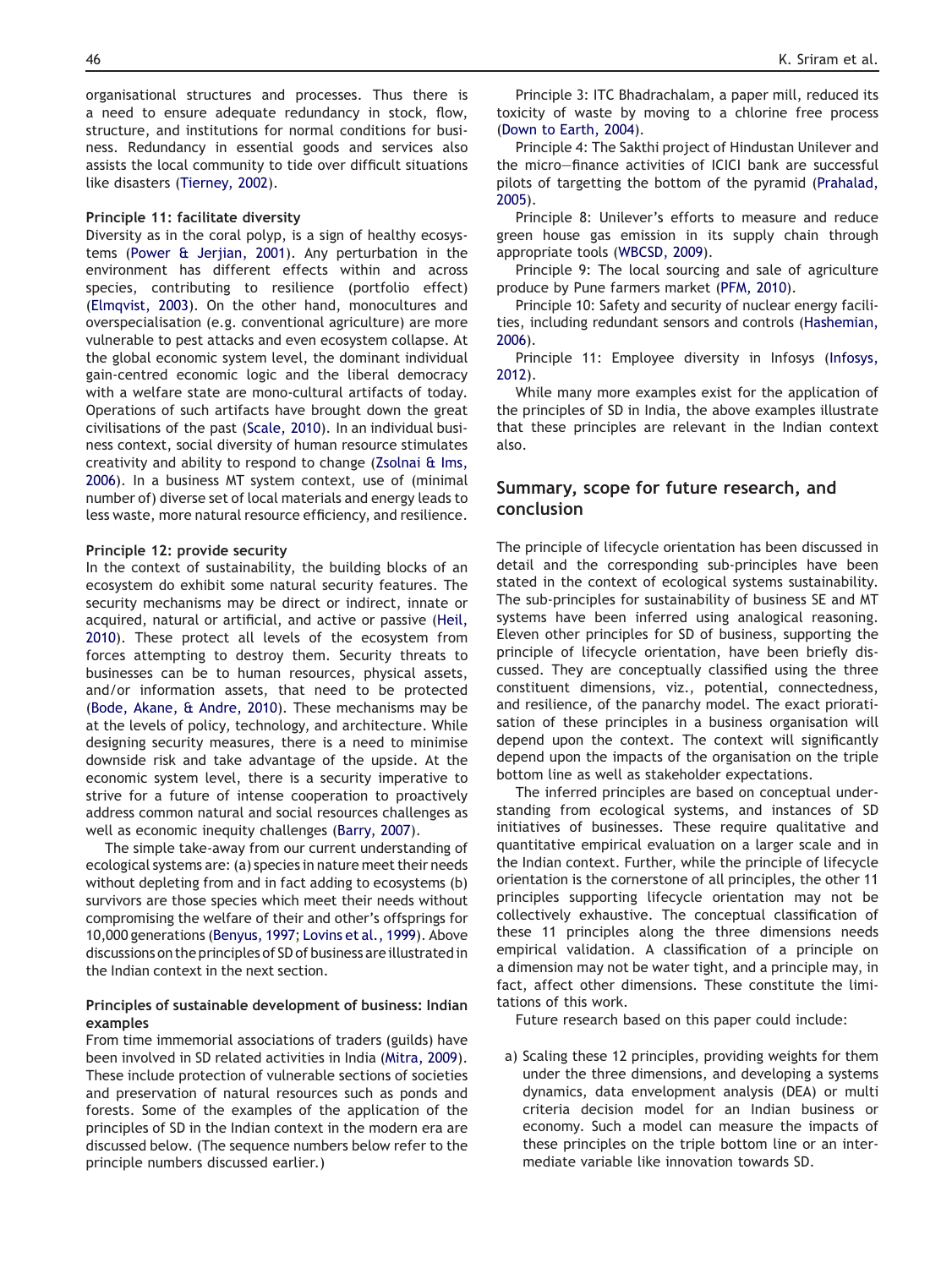organisational structures and processes. Thus there is a need to ensure adequate redundancy in stock, flow, structure, and institutions for normal conditions for business. Redundancy in essential goods and services also assists the local community to tide over difficult situations like disasters ([Tierney, 2002\)](#page-12-0).

#### Principle 11: facilitate diversity

Diversity as in the coral polyp, is a sign of healthy ecosystems ([Power & Jerjian, 2001\)](#page-12-0). Any perturbation in the environment has different effects within and across species, contributing to resilience (portfolio effect) [\(Elmqvist, 2003](#page-11-0)). On the other hand, monocultures and overspecialisation (e.g. conventional agriculture) are more vulnerable to pest attacks and even ecosystem collapse. At the global economic system level, the dominant individual gain-centred economic logic and the liberal democracy with a welfare state are mono-cultural artifacts of today. Operations of such artifacts have brought down the great civilisations of the past ([Scale, 2010\)](#page-12-0). In an individual business context, social diversity of human resource stimulates creativity and ability to respond to change [\(Zsolnai & Ims,](#page-12-0) [2006](#page-12-0)). In a business MT system context, use of (minimal number of) diverse set of local materials and energy leads to less waste, more natural resource efficiency, and resilience.

#### Principle 12: provide security

In the context of sustainability, the building blocks of an ecosystem do exhibit some natural security features. The security mechanisms may be direct or indirect, innate or acquired, natural or artificial, and active or passive ([Heil,](#page-11-0) [2010](#page-11-0)). These protect all levels of the ecosystem from forces attempting to destroy them. Security threats to businesses can be to human resources, physical assets, and/or information assets, that need to be protected [\(Bode, Akane, & Andre, 2010\)](#page-11-0). These mechanisms may be at the levels of policy, technology, and architecture. While designing security measures, there is a need to minimise downside risk and take advantage of the upside. At the economic system level, there is a security imperative to strive for a future of intense cooperation to proactively address common natural and social resources challenges as well as economic inequity challenges [\(Barry, 2007\)](#page-11-0).

The simple take-away from our current understanding of ecological systems are: (a) species in nature meet their needs without depleting from and in fact adding to ecosystems (b) survivors are those species which meet their needs without compromising the welfare of their and other's offsprings for 10,000 generations [\(Benyus, 1997;](#page-11-0) [Lovins et al., 1999](#page-12-0)). Above discussions on the principles of SD of business are illustrated in the Indian context in the next section.

# Principles of sustainable development of business: Indian examples

From time immemorial associations of traders (guilds) have been involved in SD related activities in India [\(Mitra, 2009](#page-12-0)). These include protection of vulnerable sections of societies and preservation of natural resources such as ponds and forests. Some of the examples of the application of the principles of SD in the Indian context in the modern era are discussed below. (The sequence numbers below refer to the principle numbers discussed earlier.)

Principle 4: The Sakthi project of Hindustan Unilever and the micro-finance activities of ICICI bank are successful pilots of targetting the bottom of the pyramid [\(Prahalad,](#page-12-0) [2005](#page-12-0)).

Principle 8: Unilever's efforts to measure and reduce green house gas emission in its supply chain through appropriate tools [\(WBCSD, 2009\)](#page-12-0).

Principle 9: The local sourcing and sale of agriculture produce by Pune farmers market [\(PFM, 2010](#page-12-0)).

Principle 10: Safety and security of nuclear energy facilities, including redundant sensors and controls [\(Hashemian,](#page-11-0) [2006](#page-11-0)).

Principle 11: Employee diversity in Infosys [\(Infosys,](#page-11-0) [2012](#page-11-0)).

While many more examples exist for the application of the principles of SD in India, the above examples illustrate that these principles are relevant in the Indian context also.

# Summary, scope for future research, and conclusion

The principle of lifecycle orientation has been discussed in detail and the corresponding sub-principles have been stated in the context of ecological systems sustainability. The sub-principles for sustainability of business SE and MT systems have been inferred using analogical reasoning. Eleven other principles for SD of business, supporting the principle of lifecycle orientation, have been briefly discussed. They are conceptually classified using the three constituent dimensions, viz., potential, connectedness, and resilience, of the panarchy model. The exact prioratisation of these principles in a business organisation will depend upon the context. The context will significantly depend upon the impacts of the organisation on the triple bottom line as well as stakeholder expectations.

The inferred principles are based on conceptual understanding from ecological systems, and instances of SD initiatives of businesses. These require qualitative and quantitative empirical evaluation on a larger scale and in the Indian context. Further, while the principle of lifecycle orientation is the cornerstone of all principles, the other 11 principles supporting lifecycle orientation may not be collectively exhaustive. The conceptual classification of these 11 principles along the three dimensions needs empirical validation. A classification of a principle on a dimension may not be water tight, and a principle may, in fact, affect other dimensions. These constitute the limitations of this work.

Future research based on this paper could include:

a) Scaling these 12 principles, providing weights for them under the three dimensions, and developing a systems dynamics, data envelopment analysis (DEA) or multi criteria decision model for an Indian business or economy. Such a model can measure the impacts of these principles on the triple bottom line or an intermediate variable like innovation towards SD.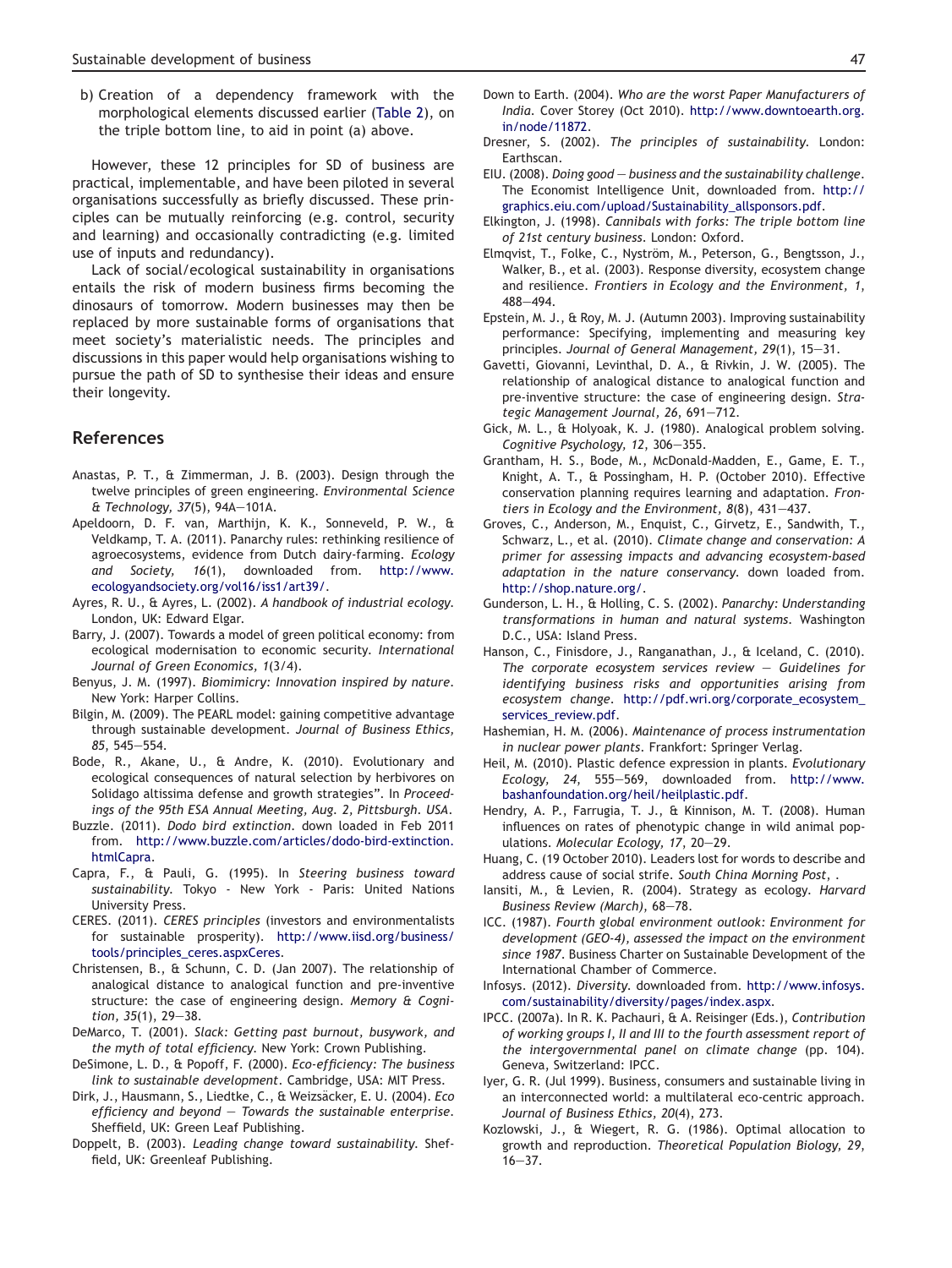<span id="page-11-0"></span>b) Creation of a dependency framework with the morphological elements discussed earlier [\(Table 2](#page-3-0)), on the triple bottom line, to aid in point (a) above.

However, these 12 principles for SD of business are practical, implementable, and have been piloted in several organisations successfully as briefly discussed. These principles can be mutually reinforcing (e.g. control, security and learning) and occasionally contradicting (e.g. limited use of inputs and redundancy).

Lack of social/ecological sustainability in organisations entails the risk of modern business firms becoming the dinosaurs of tomorrow. Modern businesses may then be replaced by more sustainable forms of organisations that meet society's materialistic needs. The principles and discussions in this paper would help organisations wishing to pursue the path of SD to synthesise their ideas and ensure their longevity.

# References

- Anastas, P. T., & Zimmerman, J. B. (2003). Design through the twelve principles of green engineering. Environmental Science  $&$  Technology, 37(5), 94A-101A.
- Apeldoorn, D. F. van, Marthijn, K. K., Sonneveld, P. W., & Veldkamp, T. A. (2011). Panarchy rules: rethinking resilience of agroecosystems, evidence from Dutch dairy-farming. Ecology and Society, 16(1), downloaded from. [http://www.](http://www.ecologyandsociety.org/vol16/iss1/art39/) [ecologyandsociety.org/vol16/iss1/art39/.](http://www.ecologyandsociety.org/vol16/iss1/art39/)
- Ayres, R. U., & Ayres, L. (2002). A handbook of industrial ecology. London, UK: Edward Elgar.
- Barry, J. (2007). Towards a model of green political economy: from ecological modernisation to economic security. International Journal of Green Economics, 1(3/4).
- Benyus, J. M. (1997). Biomimicry: Innovation inspired by nature. New York: Harper Collins.
- Bilgin, M. (2009). The PEARL model: gaining competitive advantage through sustainable development. Journal of Business Ethics, 85, 545-554.
- Bode, R., Akane, U., & Andre, K. (2010). Evolutionary and ecological consequences of natural selection by herbivores on Solidago altissima defense and growth strategies". In Proceedings of the 95th ESA Annual Meeting, Aug. 2, Pittsburgh. USA.
- Buzzle. (2011). Dodo bird extinction. down loaded in Feb 2011 from. [http://www.buzzle.com/articles/dodo-bird-extinction.](http://www.buzzle.com/articles/dodo-bird-extinction.htmlCapra) [htmlCapra.](http://www.buzzle.com/articles/dodo-bird-extinction.htmlCapra)
- Capra, F., & Pauli, G. (1995). In Steering business toward sustainability. Tokyo - New York - Paris: United Nations University Press.
- CERES. (2011). CERES principles (investors and environmentalists for sustainable prosperity). [http://www.iisd.org/business/](http://www.iisd.org/business/tools/principles_ceres.aspxCeres) [tools/principles\\_ceres.aspxCeres](http://www.iisd.org/business/tools/principles_ceres.aspxCeres).
- Christensen, B., & Schunn, C. D. (Jan 2007). The relationship of analogical distance to analogical function and pre-inventive structure: the case of engineering design. Memory & Cognition,  $35(1)$ ,  $29-38$ .
- DeMarco, T. (2001). Slack: Getting past burnout, busywork, and the myth of total efficiency. New York: Crown Publishing.
- DeSimone, L. D., & Popoff, F. (2000). Eco-efficiency: The business link to sustainable development. Cambridge, USA: MIT Press.
- Dirk, J., Hausmann, S., Liedtke, C., & Weizsäcker, E. U. (2004). Eco efficiency and beyond  $-$  Towards the sustainable enterprise. Sheffield, UK: Green Leaf Publishing.
- Doppelt, B. (2003). Leading change toward sustainability. Sheffield, UK: Greenleaf Publishing.
- Down to Earth. (2004). Who are the worst Paper Manufacturers of India. Cover Storey (Oct 2010). [http://www.downtoearth.org.](http://www.downtoearth.org.in/node/11872) [in/node/11872](http://www.downtoearth.org.in/node/11872).
- Dresner, S. (2002). The principles of sustainability. London: Earthscan.
- EIU. (2008). Doing good  $-$  business and the sustainability challenge. The Economist Intelligence Unit, downloaded from. [http://](http://graphics.eiu.com/upload/Sustainability_allsponsors.pdf) [graphics.eiu.com/upload/Sustainability\\_allsponsors.pdf](http://graphics.eiu.com/upload/Sustainability_allsponsors.pdf).
- Elkington, J. (1998). Cannibals with forks: The triple bottom line of 21st century business. London: Oxford.
- Elmqvist, T., Folke, C., Nyström, M., Peterson, G., Bengtsson, J., Walker, B., et al. (2003). Response diversity, ecosystem change and resilience. Frontiers in Ecology and the Environment, 1, 488-494.
- Epstein, M. J., & Roy, M. J. (Autumn 2003). Improving sustainability performance: Specifying, implementing and measuring key principles. Journal of General Management, 29(1), 15-31.
- Gavetti, Giovanni, Levinthal, D. A., & Rivkin, J. W. (2005). The relationship of analogical distance to analogical function and pre-inventive structure: the case of engineering design. Strategic Management Journal, 26, 691-712.
- Gick, M. L., & Holyoak, K. J. (1980). Analogical problem solving. Cognitive Psychology, 12, 306-355.
- Grantham, H. S., Bode, M., McDonald-Madden, E., Game, E. T., Knight, A. T., & Possingham, H. P. (October 2010). Effective conservation planning requires learning and adaptation. Frontiers in Ecology and the Environment,  $8(8)$ ,  $431-437$ .
- Groves, C., Anderson, M., Enquist, C., Girvetz, E., Sandwith, T., Schwarz, L., et al. (2010). Climate change and conservation: A primer for assessing impacts and advancing ecosystem-based adaptation in the nature conservancy. down loaded from. [http://shop.nature.org/.](http://shop.nature.org/)
- Gunderson, L. H., & Holling, C. S. (2002). Panarchy: Understanding transformations in human and natural systems. Washington D.C., USA: Island Press.
- Hanson, C., Finisdore, J., Ranganathan, J., & Iceland, C. (2010). The corporate ecosystem services review  $-$  Guidelines for identifying business risks and opportunities arising from ecosystem change. [http://pdf.wri.org/corporate\\_ecosystem\\_](http://pdf.wri.org/corporate_ecosystem_services_review.pdf) [services\\_review.pdf](http://pdf.wri.org/corporate_ecosystem_services_review.pdf).
- Hashemian, H. M. (2006). Maintenance of process instrumentation in nuclear power plants. Frankfort: Springer Verlag.
- Heil, M. (2010). Plastic defence expression in plants. Evolutionary Ecology, 24, 555-569, downloaded from. [http://www.](http://www.bashanfoundation.org/heil/heilplastic.pdf) [bashanfoundation.org/heil/heilplastic.pdf.](http://www.bashanfoundation.org/heil/heilplastic.pdf)
- Hendry, A. P., Farrugia, T. J., & Kinnison, M. T. (2008). Human influences on rates of phenotypic change in wild animal populations. Molecular Ecology, 17, 20-29.
- Huang, C. (19 October 2010). Leaders lost for words to describe and address cause of social strife. South China Morning Post, .
- Iansiti, M., & Levien, R. (2004). Strategy as ecology. Harvard Business Review (March), 68-78.
- ICC. (1987). Fourth global environment outlook: Environment for development (GEO-4), assessed the impact on the environment since 1987. Business Charter on Sustainable Development of the International Chamber of Commerce.
- Infosys. (2012). Diversity. downloaded from. [http://www.infosys.](http://www.infosys.com/sustainability/diversity/pages/index.aspx) [com/sustainability/diversity/pages/index.aspx](http://www.infosys.com/sustainability/diversity/pages/index.aspx).
- IPCC. (2007a). In R. K. Pachauri, & A. Reisinger (Eds.), Contribution of working groups I, II and III to the fourth assessment report of the intergovernmental panel on climate change (pp. 104). Geneva, Switzerland: IPCC.
- Iyer, G. R. (Jul 1999). Business, consumers and sustainable living in an interconnected world: a multilateral eco-centric approach. Journal of Business Ethics, 20(4), 273.
- Kozlowski, J., & Wiegert, R. G. (1986). Optimal allocation to growth and reproduction. Theoretical Population Biology, 29,  $16 - 37.$